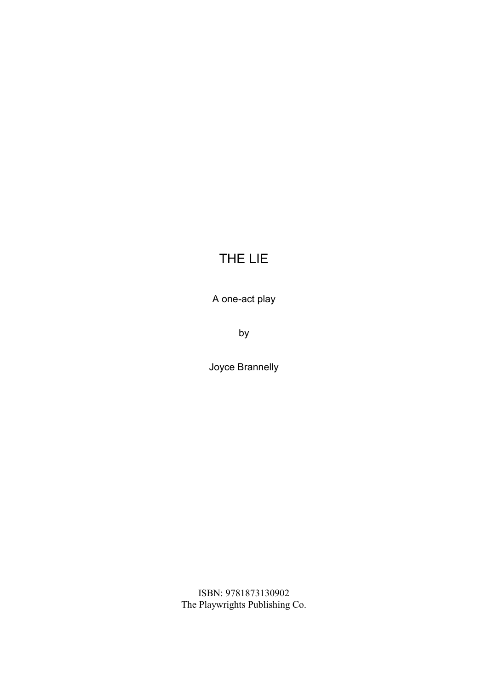A one-act play

by

Joyce Brannelly

ISBN: 9781873130902 The Playwrights Publishing Co.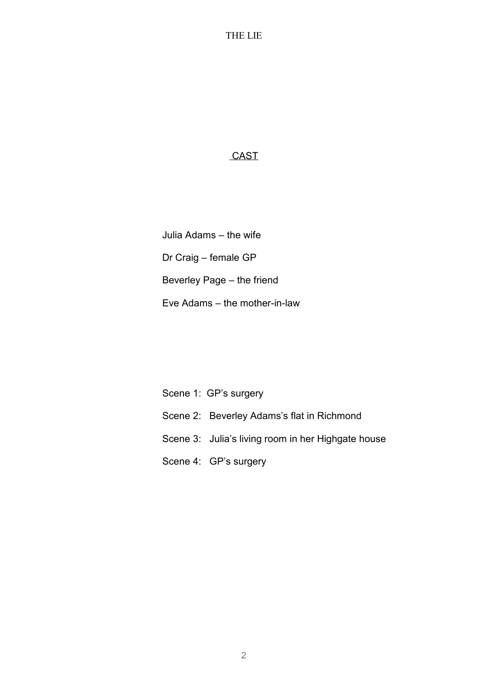### **CAST**

Julia Adams – the wife Dr Craig – female GP Beverley Page – the friend Eve Adams – the mother-in-law

Scene 1: GP's surgery Scene 2: Beverley Adams's flat in Richmond Scene 3: Julia's living room in her Highgate house Scene 4: GP's surgery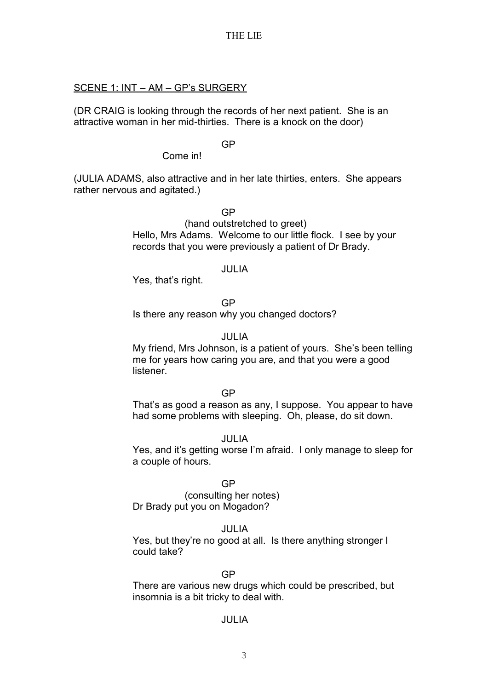### SCENE 1: INT – AM – GP's SURGERY

(DR CRAIG is looking through the records of her next patient. She is an attractive woman in her mid-thirties. There is a knock on the door)

GP

Come in!

(JULIA ADAMS, also attractive and in her late thirties, enters. She appears rather nervous and agitated.)

GP

(hand outstretched to greet) Hello, Mrs Adams. Welcome to our little flock. I see by your records that you were previously a patient of Dr Brady.

### JULIA

Yes, that's right.

GP

Is there any reason why you changed doctors?

## JULIA

My friend, Mrs Johnson, is a patient of yours. She's been telling me for years how caring you are, and that you were a good **listener** 

### GP

That's as good a reason as any, I suppose. You appear to have had some problems with sleeping. Oh, please, do sit down.

### JULIA

Yes, and it's getting worse I'm afraid. I only manage to sleep for a couple of hours.

### GP

(consulting her notes) Dr Brady put you on Mogadon?

### JULIA

Yes, but they're no good at all. Is there anything stronger I could take?

### GP

There are various new drugs which could be prescribed, but insomnia is a bit tricky to deal with.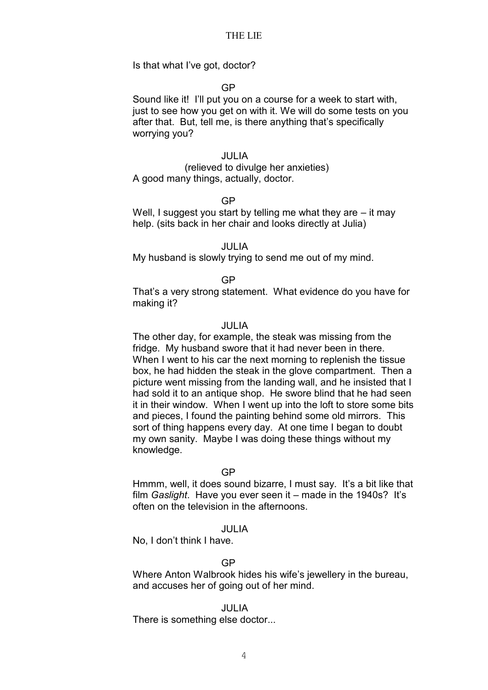Is that what I've got, doctor?

### GP

Sound like it! I'll put you on a course for a week to start with, just to see how you get on with it. We will do some tests on you after that. But, tell me, is there anything that's specifically worrying you?

### JULIA

(relieved to divulge her anxieties) A good many things, actually, doctor.

#### GP

Well, I suggest you start by telling me what they are  $-$  it may help. (sits back in her chair and looks directly at Julia)

JULIA

My husband is slowly trying to send me out of my mind.

### GP

That's a very strong statement. What evidence do you have for making it?

#### JULIA

The other day, for example, the steak was missing from the fridge. My husband swore that it had never been in there. When I went to his car the next morning to replenish the tissue box, he had hidden the steak in the glove compartment. Then a picture went missing from the landing wall, and he insisted that I had sold it to an antique shop. He swore blind that he had seen it in their window. When I went up into the loft to store some bits and pieces, I found the painting behind some old mirrors. This sort of thing happens every day. At one time I began to doubt my own sanity. Maybe I was doing these things without my knowledge.

#### GP

Hmmm, well, it does sound bizarre, I must say. It's a bit like that film *Gaslight*. Have you ever seen it – made in the 1940s? It's often on the television in the afternoons.

#### JULIA

No, I don't think I have.

### GP

Where Anton Walbrook hides his wife's jewellery in the bureau, and accuses her of going out of her mind.

#### JULIA

There is something else doctor...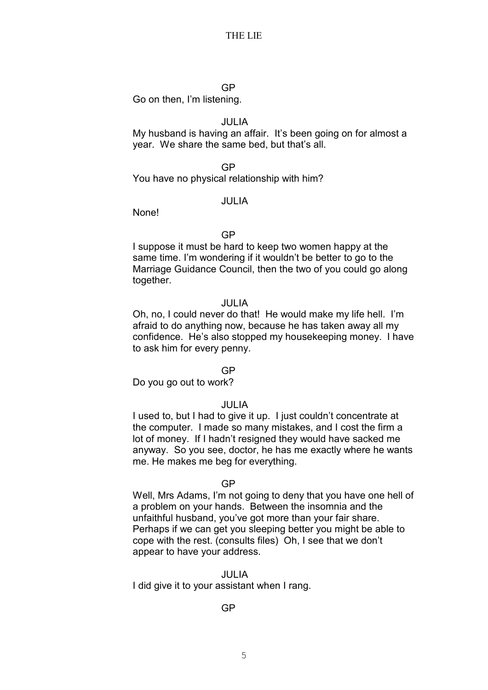### GP

Go on then, I'm listening.

### JULIA

My husband is having an affair. It's been going on for almost a year. We share the same bed, but that's all.

### GP

You have no physical relationship with him?

### JULIA

None!

### GP

I suppose it must be hard to keep two women happy at the same time. I'm wondering if it wouldn't be better to go to the Marriage Guidance Council, then the two of you could go along together.

### JULIA

Oh, no, I could never do that! He would make my life hell. I'm afraid to do anything now, because he has taken away all my confidence. He's also stopped my housekeeping money. I have to ask him for every penny.

### GP

Do you go out to work?

### JULIA

I used to, but I had to give it up. I just couldn't concentrate at the computer. I made so many mistakes, and I cost the firm a lot of money. If I hadn't resigned they would have sacked me anyway. So you see, doctor, he has me exactly where he wants me. He makes me beg for everything.

### GP

Well, Mrs Adams, I'm not going to deny that you have one hell of a problem on your hands. Between the insomnia and the unfaithful husband, you've got more than your fair share. Perhaps if we can get you sleeping better you might be able to cope with the rest. (consults files) Oh, I see that we don't appear to have your address.

### JULIA

I did give it to your assistant when I rang.

### GP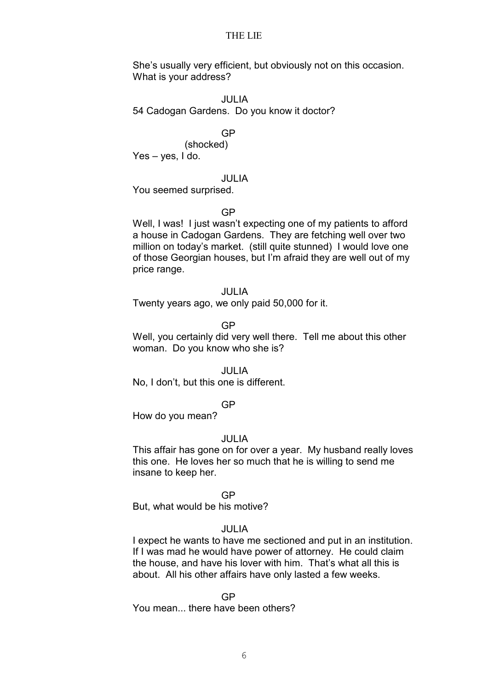She's usually very efficient, but obviously not on this occasion. What is your address?

#### JULIA

54 Cadogan Gardens. Do you know it doctor?

#### GP

(shocked) Yes – yes, I do.

### JULIA

You seemed surprised.

#### GP

Well, I was! I just wasn't expecting one of my patients to afford a house in Cadogan Gardens. They are fetching well over two million on today's market. (still quite stunned) I would love one of those Georgian houses, but I'm afraid they are well out of my price range.

### JULIA

Twenty years ago, we only paid 50,000 for it.

GP

Well, you certainly did very well there. Tell me about this other woman. Do you know who she is?

#### JULIA

No, I don't, but this one is different.

#### GP

How do you mean?

#### JULIA

This affair has gone on for over a year. My husband really loves this one. He loves her so much that he is willing to send me insane to keep her.

#### GP

But, what would be his motive?

#### JULIA

I expect he wants to have me sectioned and put in an institution. If I was mad he would have power of attorney. He could claim the house, and have his lover with him. That's what all this is about. All his other affairs have only lasted a few weeks.

#### GP

You mean... there have been others?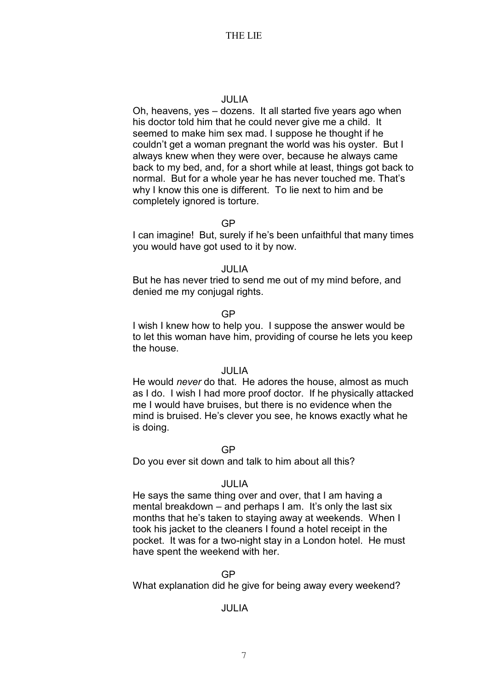### JULIA

Oh, heavens, yes – dozens. It all started five years ago when his doctor told him that he could never give me a child. It seemed to make him sex mad. I suppose he thought if he couldn't get a woman pregnant the world was his oyster. But I always knew when they were over, because he always came back to my bed, and, for a short while at least, things got back to normal. But for a whole year he has never touched me. That's why I know this one is different. To lie next to him and be completely ignored is torture.

#### GP

I can imagine! But, surely if he's been unfaithful that many times you would have got used to it by now.

### JULIA

But he has never tried to send me out of my mind before, and denied me my conjugal rights.

### GP

I wish I knew how to help you. I suppose the answer would be to let this woman have him, providing of course he lets you keep the house.

#### JULIA

He would *never* do that. He adores the house, almost as much as I do. I wish I had more proof doctor. If he physically attacked me I would have bruises, but there is no evidence when the mind is bruised. He's clever you see, he knows exactly what he is doing.

#### GP

Do you ever sit down and talk to him about all this?

### JULIA

He says the same thing over and over, that I am having a mental breakdown – and perhaps I am. It's only the last six months that he's taken to staying away at weekends. When I took his jacket to the cleaners I found a hotel receipt in the pocket. It was for a two-night stay in a London hotel. He must have spent the weekend with her.

### GP

What explanation did he give for being away every weekend?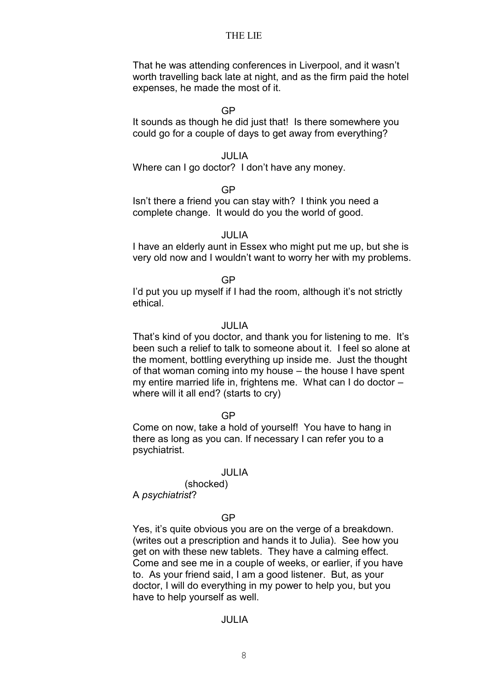That he was attending conferences in Liverpool, and it wasn't worth travelling back late at night, and as the firm paid the hotel expenses, he made the most of it.

#### GP

It sounds as though he did just that! Is there somewhere you could go for a couple of days to get away from everything?

#### JULIA

Where can I go doctor? I don't have any money.

GP

Isn't there a friend you can stay with? I think you need a complete change. It would do you the world of good.

#### JULIA

I have an elderly aunt in Essex who might put me up, but she is very old now and I wouldn't want to worry her with my problems.

### GP

I'd put you up myself if I had the room, although it's not strictly ethical.

#### JULIA

That's kind of you doctor, and thank you for listening to me. It's been such a relief to talk to someone about it. I feel so alone at the moment, bottling everything up inside me. Just the thought of that woman coming into my house – the house I have spent my entire married life in, frightens me. What can I do doctor – where will it all end? (starts to cry)

#### GP

Come on now, take a hold of yourself! You have to hang in there as long as you can. If necessary I can refer you to a psychiatrist.

#### JULIA

(shocked) A *psychiatrist*?

## GP

Yes, it's quite obvious you are on the verge of a breakdown. (writes out a prescription and hands it to Julia). See how you get on with these new tablets. They have a calming effect. Come and see me in a couple of weeks, or earlier, if you have to. As your friend said, I am a good listener. But, as your doctor, I will do everything in my power to help you, but you have to help yourself as well.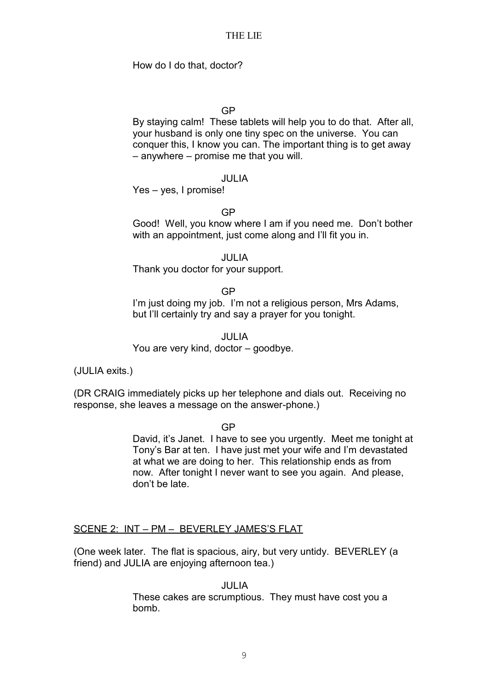How do I do that, doctor?

### GP

By staying calm! These tablets will help you to do that. After all, your husband is only one tiny spec on the universe. You can conquer this, I know you can. The important thing is to get away – anywhere – promise me that you will.

### JULIA

Yes – yes, I promise!

GP

Good! Well, you know where I am if you need me. Don't bother with an appointment, just come along and I'll fit you in.

JULIA

Thank you doctor for your support.

GP

I'm just doing my job. I'm not a religious person, Mrs Adams, but I'll certainly try and say a prayer for you tonight.

JULIA You are very kind, doctor – goodbye.

(JULIA exits.)

(DR CRAIG immediately picks up her telephone and dials out. Receiving no response, she leaves a message on the answer-phone.)

GP

David, it's Janet. I have to see you urgently. Meet me tonight at Tony's Bar at ten. I have just met your wife and I'm devastated at what we are doing to her. This relationship ends as from now. After tonight I never want to see you again. And please, don't be late.

### SCENE 2: INT – PM – BEVERLEY JAMES'S FLAT

(One week later. The flat is spacious, airy, but very untidy. BEVERLEY (a friend) and JULIA are enjoying afternoon tea.)

JULIA

These cakes are scrumptious. They must have cost you a bomb.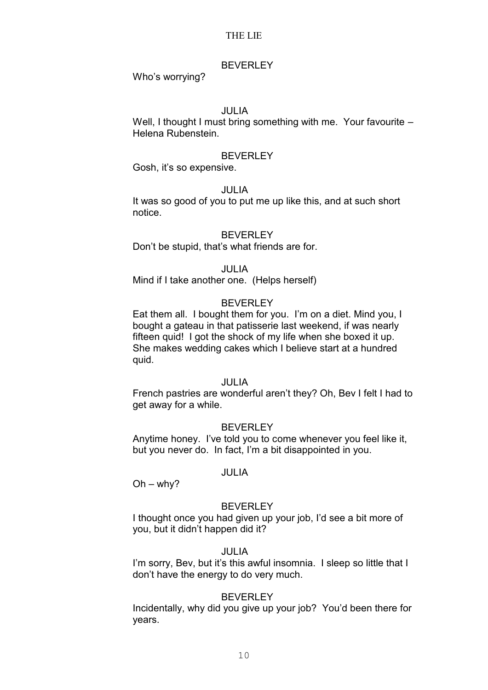### BEVERLEY

Who's worrying?

### JULIA

Well, I thought I must bring something with me. Your favourite – Helena Rubenstein.

#### **BEVERLEY**

Gosh, it's so expensive.

### JULIA

It was so good of you to put me up like this, and at such short notice.

#### **BEVERLEY**

Don't be stupid, that's what friends are for.

### JULIA

Mind if I take another one. (Helps herself)

### BEVERLEY

Eat them all. I bought them for you. I'm on a diet. Mind you, I bought a gateau in that patisserie last weekend, if was nearly fifteen quid! I got the shock of my life when she boxed it up. She makes wedding cakes which I believe start at a hundred quid.

### JULIA

French pastries are wonderful aren't they? Oh, Bev I felt I had to get away for a while.

### BEVERLEY

Anytime honey. I've told you to come whenever you feel like it, but you never do. In fact, I'm a bit disappointed in you.

### JULIA

 $Oh - whv?$ 

### **BEVERLEY**

I thought once you had given up your job, I'd see a bit more of you, but it didn't happen did it?

### JULIA

I'm sorry, Bey, but it's this awful insomnia. I sleep so little that I don't have the energy to do very much.

### BEVERLEY

Incidentally, why did you give up your job? You'd been there for years.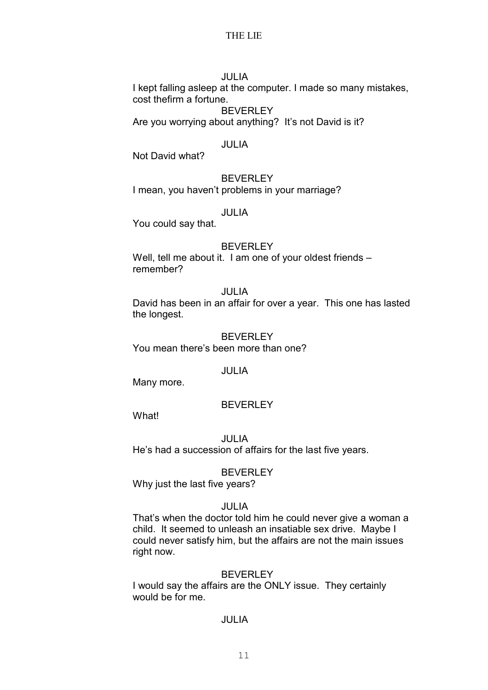### JULIA

I kept falling asleep at the computer. I made so many mistakes, cost thefirm a fortune.

BEVERLEY Are you worrying about anything? It's not David is it?

### JULIA

Not David what?

### BEVERLEY

I mean, you haven't problems in your marriage?

### JULIA

You could say that.

### BEVERLEY

Well, tell me about it. I am one of your oldest friends remember?

### JULIA

David has been in an affair for over a year. This one has lasted the longest.

### BEVERLEY You mean there's been more than one?

### JULIA

Many more.

#### BEVERLEY

What!

JULIA He's had a succession of affairs for the last five years.

#### BEVERLEY

Why just the last five years?

### JULIA

That's when the doctor told him he could never give a woman a child. It seemed to unleash an insatiable sex drive. Maybe I could never satisfy him, but the affairs are not the main issues right now.

#### BEVERLEY

I would say the affairs are the ONLY issue. They certainly would be for me.